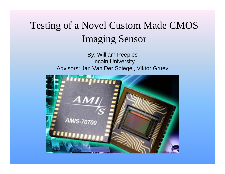#### Testing of a Novel Custom Made CMOS Imaging Sensor

By: William Peeples Lincoln University Advisors: Jan Van Der Spiegel, Viktor Gruev

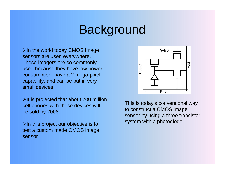# **Background**

 $\triangleright$ In the world today CMOS image sensors are used everywhere. These imagers are so commonly used because they have low power consumption, have a 2 mega-pixel capability, and can be put in very small devices

 $\triangleright$ It is projected that about 700 million cell phones with these devices will be sold by 2008

 $\triangleright$ In this project our objective is to test a custom made CMOS image sensor



This is today's conventional way to construct a CMOS image sensor by using a three transistor system with a photodiode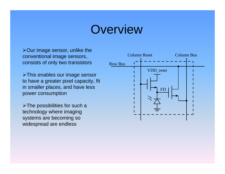## **Overview**

¾Our image sensor, unlike the conventional image sensors, consists of only two transistors

¾This enables our image sensor to have a greater pixel capacity, fit in smaller places, and have less power consumption

 $\triangleright$  The possibilities for such a technology where imaging systems are becoming so widespread are endless

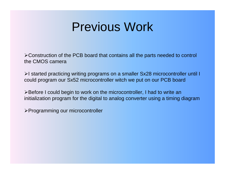## Previous Work

¾Construction of the PCB board that contains all the parts needed to control the CMOS camera

¾I started practicing writing programs on a smaller Sx28 microcontroller until I could program our Sx52 microcontroller witch we put on our PCB board

¾Before I could begin to work on the microcontroller, I had to write an initialization program for the digital to analog converter using a timing diagram

¾Programming our microcontroller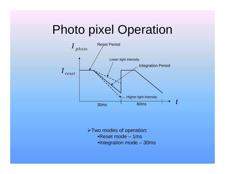# Photo pixel Operation



¾Two modes of operation:

- •Reset mode 1ms
- •Integration mode 30ms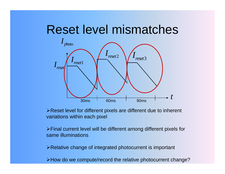#### Reset level mismatches



¾Reset level for different pixels are different due to inherent variations within each pixel

¾Final current level will be different among different pixels for same illuminations

¾Relative change of integrated photocurrent is important

¾How do we compute/record the relative photocurrent change?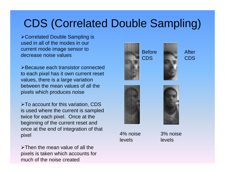### CDS (Correlated Double Sampling)

¾Correlated Double Sampling is used in all of the modes in our current mode image sensor to decrease noise values

¾Because each transistor connected to each pixel has it own current reset values, there is a large variation between the mean values of all the pixels which produces noise

¾To account for this variation, CDS is used where the current is sampled twice for each pixel. Once at the beginning of the current reset and once at the end of integration of that pixel

 $\triangleright$ Then the mean value of all the pixels is taken which accounts for much of the noise created







4% noise levels

3% noise levels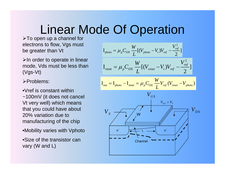# Linear Mode Of Operation

¾To open up a channel for electrons to flow, Vgs must be greater than Vt

 $\triangleright$ In order to operate in linear mode, Vds must be less than (Vgs-Vt)

¾Problems:

•Vref is constant within ~100mV (it does not cancel Vt very well) which means that you could have about 20% variation due to manufacturing of the chip

•Mobility varies with Vphoto

•Size of the transistor can vary (W and L)

$$
I_{\text{photo}} = \mu_p C_{OX} \frac{W}{L} [(V_{\text{photo}} - V_t) V_{\text{ref}} - \frac{V_{\text{ref}}^2}{2}]
$$

$$
I_{\text{reset}} = \mu_p C_{OX} \frac{W}{L} [(V_{reset} - V_t) V_{ref} - \frac{V_{ref}^2}{2}]
$$

$$
I_{\text{out}} = I_{\text{photo}} - I_{\text{reset}} = \mu_p C_{OX} \frac{W}{L} V_{\text{ref}} (V_{\text{reset}} - V_{\text{photo}})
$$

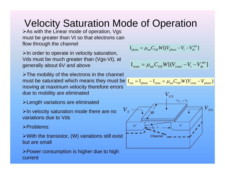#### Velocity Saturation Mode of Operation

¾As with the Linear mode of operation, Vgs must be greater than Vt so that electrons can flow through the channel

 $\triangleright$ In order to operate in velocity saturation, Vds must be much greater than (Vgs-Vt), at generally about 6V and above

 $\triangleright$ The mobility of the electrons in the channel must be saturated which means they must be moving at maximum velocity therefore errors due to mobility are eliminated

- ¾Length variations are eliminated
- $\triangleright$ In velocity saturation mode there are no variations due to Vds

¾Problems:

- $\triangleright$  With the transistor, (W) variations still exist but are small
- ¾Power consumption is higher due to high current

$$
\mathbf{I}_{\text{photo}} = \mu_{\text{sat}} C_{\text{OX}} W[(V_{\text{photo}} - V_t - V_{ds}^{\text{sat}})]
$$

$$
\mathbf{I}_{\text{reset}} = \mu_{sat} C_{OX} W[(V_{reset} - V_t - V_{ds}^{sat})]
$$

$$
\mathbf{I}_{\text{out}} = \mathbf{I}_{\text{photo}} - \mathbf{I}_{\text{reset}} = \mu_{\text{sat}} C_{\text{OX}} W (V_{\text{reset}} - V_{\text{photo}})
$$

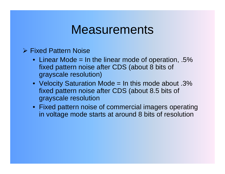### **Measurements**

#### **▶ Fixed Pattern Noise**

- Linear Mode = In the linear mode of operation, .5% fixed pattern noise after CDS (about 8 bits of grayscale resolution)
- Velocity Saturation Mode = In this mode about .3% fixed pattern noise after CDS (about 8.5 bits of grayscale resolution
- Fixed pattern noise of commercial imagers operating in voltage mode starts at around 8 bits of resolution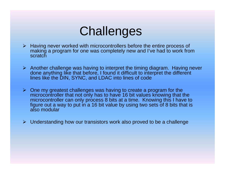# **Challenges**

- ¾ Having never worked with microcontrollers before the entire process of making a program for one was completely new and I've had to work from **scratch**
- $\triangleright$  Another challenge was having to interpret the timing diagram. Having never done anything like that before, I found it difficult to interpret the different lines like the DIN, SYNC, and LDAC into lines of code
- $\triangleright$  One my greatest challenges was having to create a program for the microcontroller that not only has to have 16 bit values knowing that the microcontroller can only process 8 bits at a time. Knowing this I have to figure out a way to put in a 16 bit value by using two sets of 8 bits that is also modular
- ¾ Understanding how our transistors work also proved to be a challenge